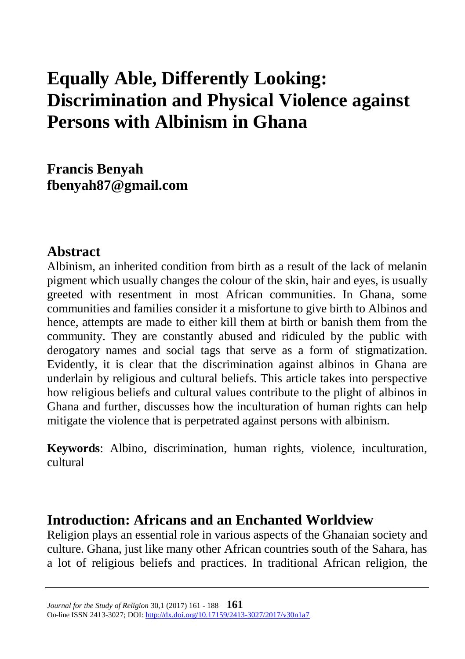# **Equally Able, Differently Looking: Discrimination and Physical Violence against Persons with Albinism in Ghana**

**Francis Benyah [fbenyah87@gmail.com](mailto:fbenyah87@gmail.com)**

### **Abstract**

Albinism, an inherited condition from birth as a result of the lack of melanin pigment which usually changes the colour of the skin, hair and eyes, is usually greeted with resentment in most African communities. In Ghana, some communities and families consider it a misfortune to give birth to Albinos and hence, attempts are made to either kill them at birth or banish them from the community. They are constantly abused and ridiculed by the public with derogatory names and social tags that serve as a form of stigmatization. Evidently, it is clear that the discrimination against albinos in Ghana are underlain by religious and cultural beliefs. This article takes into perspective how religious beliefs and cultural values contribute to the plight of albinos in Ghana and further, discusses how the inculturation of human rights can help mitigate the violence that is perpetrated against persons with albinism.

**Keywords**: Albino, discrimination, human rights, violence, inculturation, cultural

### **Introduction: Africans and an Enchanted Worldview**

Religion plays an essential role in various aspects of the Ghanaian society and culture. Ghana, just like many other African countries south of the Sahara, has a lot of religious beliefs and practices. In traditional African religion, the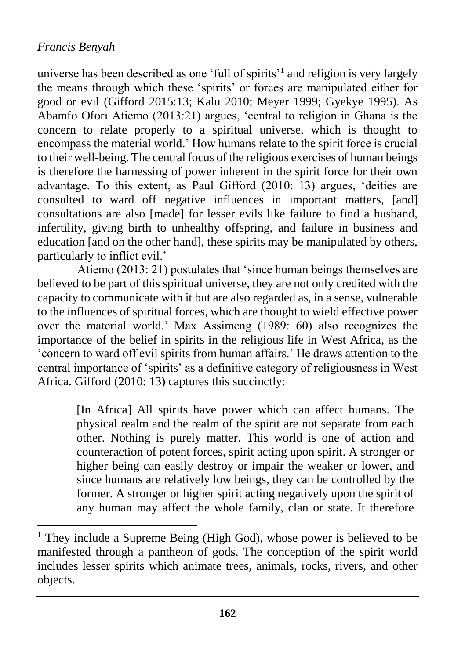$\overline{a}$ 

universe has been described as one 'full of spirits'<sup>1</sup> and religion is very largely the means through which these 'spirits' or forces are manipulated either for good or evil (Gifford 2015:13; Kalu 2010; Meyer 1999; Gyekye 1995). As Abamfo Ofori Atiemo (2013:21) argues, 'central to religion in Ghana is the concern to relate properly to a spiritual universe, which is thought to encompass the material world.' How humans relate to the spirit force is crucial to their well-being. The central focus of the religious exercises of human beings is therefore the harnessing of power inherent in the spirit force for their own advantage. To this extent, as Paul Gifford (2010: 13) argues, 'deities are consulted to ward off negative influences in important matters, [and] consultations are also [made] for lesser evils like failure to find a husband, infertility, giving birth to unhealthy offspring, and failure in business and education [and on the other hand], these spirits may be manipulated by others, particularly to inflict evil.'

Atiemo (2013: 21) postulates that 'since human beings themselves are believed to be part of this spiritual universe, they are not only credited with the capacity to communicate with it but are also regarded as, in a sense, vulnerable to the influences of spiritual forces, which are thought to wield effective power over the material world.' Max Assimeng (1989: 60) also recognizes the importance of the belief in spirits in the religious life in West Africa, as the 'concern to ward off evil spirits from human affairs.' He draws attention to the central importance of 'spirits' as a definitive category of religiousness in West Africa. Gifford (2010: 13) captures this succinctly:

> [In Africa] All spirits have power which can affect humans. The physical realm and the realm of the spirit are not separate from each other. Nothing is purely matter. This world is one of action and counteraction of potent forces, spirit acting upon spirit. A stronger or higher being can easily destroy or impair the weaker or lower, and since humans are relatively low beings, they can be controlled by the former. A stronger or higher spirit acting negatively upon the spirit of any human may affect the whole family, clan or state. It therefore

 $1$  They include a Supreme Being (High God), whose power is believed to be manifested through a pantheon of gods. The conception of the spirit world includes lesser spirits which animate trees, animals, rocks, rivers, and other objects.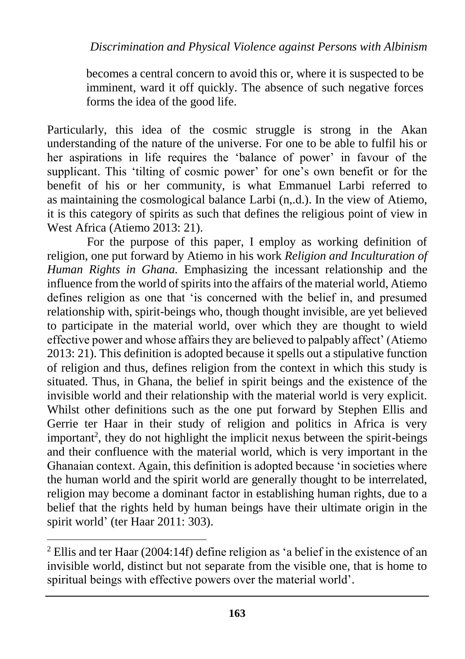becomes a central concern to avoid this or, where it is suspected to be imminent, ward it off quickly. The absence of such negative forces forms the idea of the good life.

Particularly, this idea of the cosmic struggle is strong in the Akan understanding of the nature of the universe. For one to be able to fulfil his or her aspirations in life requires the 'balance of power' in favour of the supplicant. This 'tilting of cosmic power' for one's own benefit or for the benefit of his or her community, is what Emmanuel Larbi referred to as maintaining the cosmological balance Larbi (n,.d.). In the view of Atiemo, it is this category of spirits as such that defines the religious point of view in West Africa (Atiemo 2013: 21).

For the purpose of this paper, I employ as working definition of religion, one put forward by Atiemo in his work *Religion and Inculturation of Human Rights in Ghana.* Emphasizing the incessant relationship and the influence from the world of spirits into the affairs of the material world, Atiemo defines religion as one that 'is concerned with the belief in, and presumed relationship with, spirit-beings who, though thought invisible, are yet believed to participate in the material world, over which they are thought to wield effective power and whose affairs they are believed to palpably affect' (Atiemo 2013: 21). This definition is adopted because it spells out a stipulative function of religion and thus, defines religion from the context in which this study is situated. Thus, in Ghana, the belief in spirit beings and the existence of the invisible world and their relationship with the material world is very explicit. Whilst other definitions such as the one put forward by Stephen Ellis and Gerrie ter Haar in their study of religion and politics in Africa is very important<sup>2</sup>, they do not highlight the implicit nexus between the spirit-beings and their confluence with the material world, which is very important in the Ghanaian context. Again, this definition is adopted because 'in societies where the human world and the spirit world are generally thought to be interrelated, religion may become a dominant factor in establishing human rights, due to a belief that the rights held by human beings have their ultimate origin in the spirit world' (ter Haar 2011: 303).

<sup>2</sup> Ellis and ter Haar (2004:14f) define religion as 'a belief in the existence of an invisible world, distinct but not separate from the visible one, that is home to spiritual beings with effective powers over the material world'.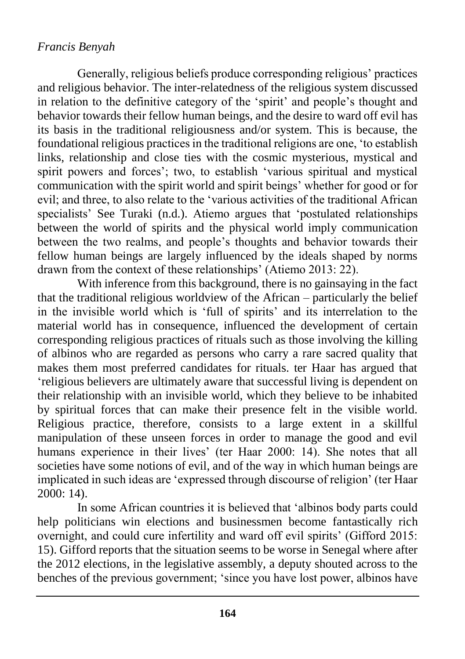Generally, religious beliefs produce corresponding religious' practices and religious behavior. The inter-relatedness of the religious system discussed in relation to the definitive category of the 'spirit' and people's thought and behavior towards their fellow human beings, and the desire to ward off evil has its basis in the traditional religiousness and/or system. This is because, the foundational religious practices in the traditional religions are one, 'to establish links, relationship and close ties with the cosmic mysterious, mystical and spirit powers and forces'; two, to establish 'various spiritual and mystical communication with the spirit world and spirit beings' whether for good or for evil; and three, to also relate to the 'various activities of the traditional African specialists' See Turaki (n.d.). Atiemo argues that 'postulated relationships between the world of spirits and the physical world imply communication between the two realms, and people's thoughts and behavior towards their fellow human beings are largely influenced by the ideals shaped by norms drawn from the context of these relationships' (Atiemo 2013: 22).

With inference from this background, there is no gainsaying in the fact that the traditional religious worldview of the African – particularly the belief in the invisible world which is 'full of spirits' and its interrelation to the material world has in consequence, influenced the development of certain corresponding religious practices of rituals such as those involving the killing of albinos who are regarded as persons who carry a rare sacred quality that makes them most preferred candidates for rituals. ter Haar has argued that 'religious believers are ultimately aware that successful living is dependent on their relationship with an invisible world, which they believe to be inhabited by spiritual forces that can make their presence felt in the visible world. Religious practice, therefore, consists to a large extent in a skillful manipulation of these unseen forces in order to manage the good and evil humans experience in their lives' (ter Haar 2000: 14). She notes that all societies have some notions of evil, and of the way in which human beings are implicated in such ideas are 'expressed through discourse of religion' (ter Haar 2000: 14).

In some African countries it is believed that 'albinos body parts could help politicians win elections and businessmen become fantastically rich overnight, and could cure infertility and ward off evil spirits' (Gifford 2015: 15). Gifford reports that the situation seems to be worse in Senegal where after the 2012 elections, in the legislative assembly, a deputy shouted across to the benches of the previous government; 'since you have lost power, albinos have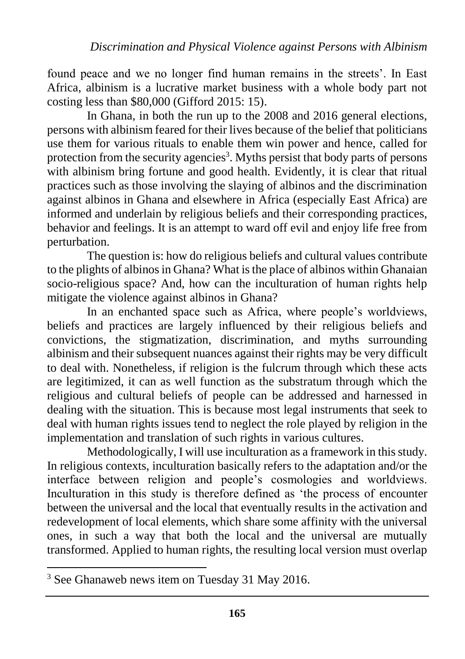found peace and we no longer find human remains in the streets'. In East Africa, albinism is a lucrative market business with a whole body part not costing less than \$80,000 (Gifford 2015: 15).

In Ghana, in both the run up to the 2008 and 2016 general elections, persons with albinism feared for their lives because of the belief that politicians use them for various rituals to enable them win power and hence, called for protection from the security agencies<sup>3</sup>. Myths persist that body parts of persons with albinism bring fortune and good health. Evidently, it is clear that ritual practices such as those involving the slaying of albinos and the discrimination against albinos in Ghana and elsewhere in Africa (especially East Africa) are informed and underlain by religious beliefs and their corresponding practices, behavior and feelings. It is an attempt to ward off evil and enjoy life free from perturbation.

The question is: how do religious beliefs and cultural values contribute to the plights of albinos in Ghana? What is the place of albinos within Ghanaian socio-religious space? And, how can the inculturation of human rights help mitigate the violence against albinos in Ghana?

In an enchanted space such as Africa, where people's worldviews, beliefs and practices are largely influenced by their religious beliefs and convictions, the stigmatization, discrimination, and myths surrounding albinism and their subsequent nuances against their rights may be very difficult to deal with. Nonetheless, if religion is the fulcrum through which these acts are legitimized, it can as well function as the substratum through which the religious and cultural beliefs of people can be addressed and harnessed in dealing with the situation. This is because most legal instruments that seek to deal with human rights issues tend to neglect the role played by religion in the implementation and translation of such rights in various cultures.

Methodologically, I will use inculturation as a framework in this study. In religious contexts, inculturation basically refers to the adaptation and/or the interface between religion and people's cosmologies and worldviews. Inculturation in this study is therefore defined as 'the process of encounter between the universal and the local that eventually results in the activation and redevelopment of local elements, which share some affinity with the universal ones, in such a way that both the local and the universal are mutually transformed. Applied to human rights, the resulting local version must overlap

<sup>&</sup>lt;sup>3</sup> See Ghanaweb news item on Tuesday 31 May 2016.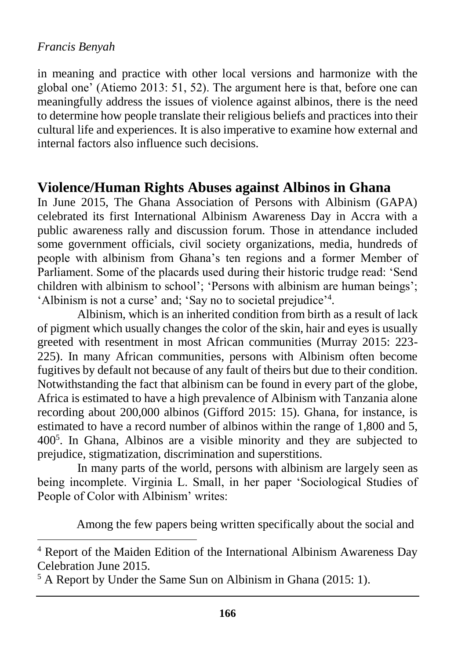$\overline{a}$ 

in meaning and practice with other local versions and harmonize with the global one' (Atiemo 2013: 51, 52). The argument here is that, before one can meaningfully address the issues of violence against albinos, there is the need to determine how people translate their religious beliefs and practices into their cultural life and experiences. It is also imperative to examine how external and internal factors also influence such decisions.

### **Violence/Human Rights Abuses against Albinos in Ghana**

In June 2015, The Ghana Association of Persons with Albinism (GAPA) celebrated its first International Albinism Awareness Day in Accra with a public awareness rally and discussion forum. Those in attendance included some government officials, civil society organizations, media, hundreds of people with albinism from Ghana's ten regions and a former Member of Parliament. Some of the placards used during their historic trudge read: 'Send children with albinism to school'; 'Persons with albinism are human beings'; 'Albinism is not a curse' and; 'Say no to societal prejudice'<sup>4</sup> .

Albinism, which is an inherited condition from birth as a result of lack of pigment which usually changes the color of the skin, hair and eyes is usually greeted with resentment in most African communities (Murray 2015: 223- 225). In many African communities, persons with Albinism often become fugitives by default not because of any fault of theirs but due to their condition. Notwithstanding the fact that albinism can be found in every part of the globe, Africa is estimated to have a high prevalence of Albinism with Tanzania alone recording about 200,000 albinos (Gifford 2015: 15). Ghana, for instance, is estimated to have a record number of albinos within the range of 1,800 and 5, 400<sup>5</sup> . In Ghana, Albinos are a visible minority and they are subjected to prejudice, stigmatization, discrimination and superstitions.

In many parts of the world, persons with albinism are largely seen as being incomplete. Virginia L. Small, in her paper 'Sociological Studies of People of Color with Albinism' writes:

Among the few papers being written specifically about the social and

<sup>5</sup> A Report by Under the Same Sun on Albinism in Ghana (2015: 1).

<sup>4</sup> Report of the Maiden Edition of the International Albinism Awareness Day Celebration June 2015.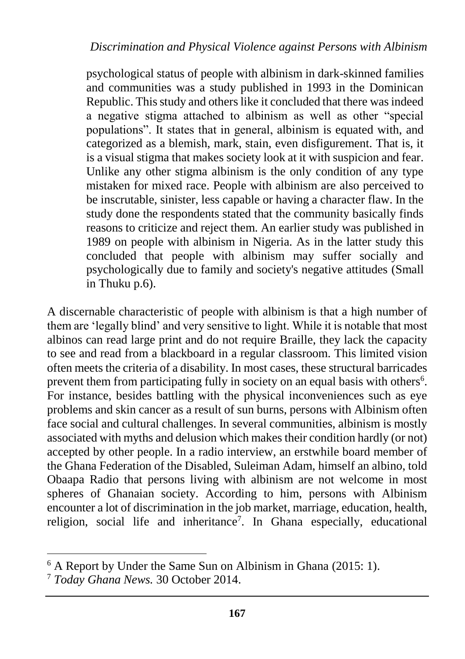psychological status of people with albinism in dark-skinned families and communities was a study published in 1993 in the Dominican Republic. This study and others like it concluded that there was indeed a negative stigma attached to albinism as well as other "special populations". It states that in general, albinism is equated with, and categorized as a blemish, mark, stain, even disfigurement. That is, it is a visual stigma that makes society look at it with suspicion and fear. Unlike any other stigma albinism is the only condition of any type mistaken for mixed race. People with albinism are also perceived to be inscrutable, sinister, less capable or having a character flaw. In the study done the respondents stated that the community basically finds reasons to criticize and reject them. An earlier study was published in 1989 on people with albinism in Nigeria. As in the latter study this concluded that people with albinism may suffer socially and psychologically due to family and society's negative attitudes (Small in Thuku p.6).

A discernable characteristic of people with albinism is that a high number of them are 'legally blind' and very sensitive to light. While it is notable that most albinos can read large print and do not require Braille, they lack the capacity to see and read from a blackboard in a regular classroom. This limited vision often meets the criteria of a disability. In most cases, these structural barricades prevent them from participating fully in society on an equal basis with others<sup>6</sup>. For instance, besides battling with the physical inconveniences such as eye problems and skin cancer as a result of sun burns, persons with Albinism often face social and cultural challenges. In several communities, albinism is mostly associated with myths and delusion which makes their condition hardly (or not) accepted by other people. In a radio interview, an erstwhile board member of the Ghana Federation of the Disabled, Suleiman Adam, himself an albino, told Obaapa Radio that persons living with albinism are not welcome in most spheres of Ghanaian society. According to him, persons with Albinism encounter a lot of discrimination in the job market, marriage, education, health, religion, social life and inheritance<sup>7</sup>. In Ghana especially, educational

<sup>6</sup> A Report by Under the Same Sun on Albinism in Ghana (2015: 1).

<sup>7</sup> *Today Ghana News.* 30 October 2014.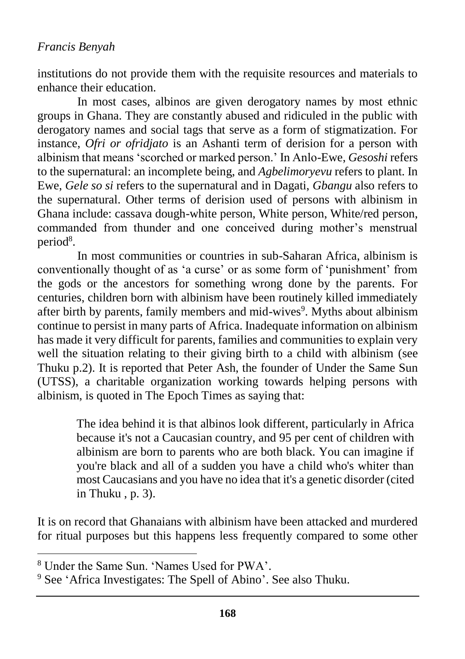institutions do not provide them with the requisite resources and materials to enhance their education.

In most cases, albinos are given derogatory names by most ethnic groups in Ghana. They are constantly abused and ridiculed in the public with derogatory names and social tags that serve as a form of stigmatization. For instance, *Ofri or ofridjato* is an Ashanti term of derision for a person with albinism that means 'scorched or marked person.' In Anlo-Ewe, *Gesoshi* refers to the supernatural: an incomplete being, and *Agbelimoryevu* refers to plant. In Ewe, *Gele so si* refers to the supernatural and in Dagati, *Gbangu* also refers to the supernatural. Other terms of derision used of persons with albinism in Ghana include: cassava dough-white person, White person, White/red person, commanded from thunder and one conceived during mother's menstrual period<sup>8</sup>.

In most communities or countries in sub-Saharan Africa, albinism is conventionally thought of as 'a curse' or as some form of 'punishment' from the gods or the ancestors for something wrong done by the parents. For centuries, children born with albinism have been routinely killed immediately after birth by parents, family members and mid-wives<sup>9</sup>. Myths about albinism continue to persist in many parts of Africa. Inadequate information on albinism has made it very difficult for parents, families and communities to explain very well the situation relating to their giving birth to a child with albinism (see Thuku p.2). It is reported that Peter Ash, the founder of Under the Same Sun (UTSS), a charitable organization working towards helping persons with albinism, is quoted in The Epoch Times as saying that:

> The idea behind it is that albinos look different, particularly in Africa because it's not a Caucasian country, and 95 per cent of children with albinism are born to parents who are both black. You can imagine if you're black and all of a sudden you have a child who's whiter than most Caucasians and you have no idea that it's a genetic disorder (cited in Thuku , p. 3).

It is on record that Ghanaians with albinism have been attacked and murdered for ritual purposes but this happens less frequently compared to some other

<sup>8</sup> Under the Same Sun. 'Names Used for PWA'.

<sup>9</sup> See 'Africa Investigates: The Spell of Abino'. See also Thuku.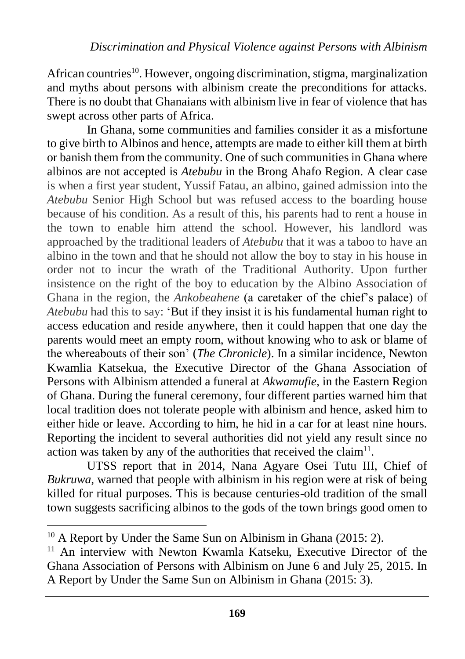African countries<sup>10</sup>. However, ongoing discrimination, stigma, marginalization and myths about persons with albinism create the preconditions for attacks. There is no doubt that Ghanaians with albinism live in fear of violence that has swept across other parts of Africa.

In Ghana, some communities and families consider it as a misfortune to give birth to Albinos and hence, attempts are made to either kill them at birth or banish them from the community. One of such communities in Ghana where albinos are not accepted is *Atebubu* in the Brong Ahafo Region. A clear case is when a first year student, Yussif Fatau, an albino, gained admission into the *Atebubu* Senior High School but was refused access to the boarding house because of his condition. As a result of this, his parents had to rent a house in the town to enable him attend the school. However, his landlord was approached by the traditional leaders of *Atebubu* that it was a taboo to have an albino in the town and that he should not allow the boy to stay in his house in order not to incur the wrath of the Traditional Authority. Upon further insistence on the right of the boy to education by the Albino Association of Ghana in the region, the *Ankobeahene* (a caretaker of the chief's palace) of *Atebubu* had this to say: 'But if they insist it is his fundamental human right to access education and reside anywhere, then it could happen that one day the parents would meet an empty room, without knowing who to ask or blame of the whereabouts of their son' (*The Chronicle*). In a similar incidence, Newton Kwamlia Katsekua, the Executive Director of the Ghana Association of Persons with Albinism attended a funeral at *Akwamufie*, in the Eastern Region of Ghana. During the funeral ceremony, four different parties warned him that local tradition does not tolerate people with albinism and hence, asked him to either hide or leave. According to him, he hid in a car for at least nine hours. Reporting the incident to several authorities did not yield any result since no action was taken by any of the authorities that received the claim<sup>11</sup>.

UTSS report that in 2014, Nana Agyare Osei Tutu III, Chief of *Bukruwa*, warned that people with albinism in his region were at risk of being killed for ritual purposes. This is because centuries-old tradition of the small town suggests sacrificing albinos to the gods of the town brings good omen to

 $10$  A Report by Under the Same Sun on Albinism in Ghana (2015: 2).

<sup>&</sup>lt;sup>11</sup> An interview with Newton Kwamla Katseku, Executive Director of the Ghana Association of Persons with Albinism on June 6 and July 25, 2015. In A Report by Under the Same Sun on Albinism in Ghana (2015: 3).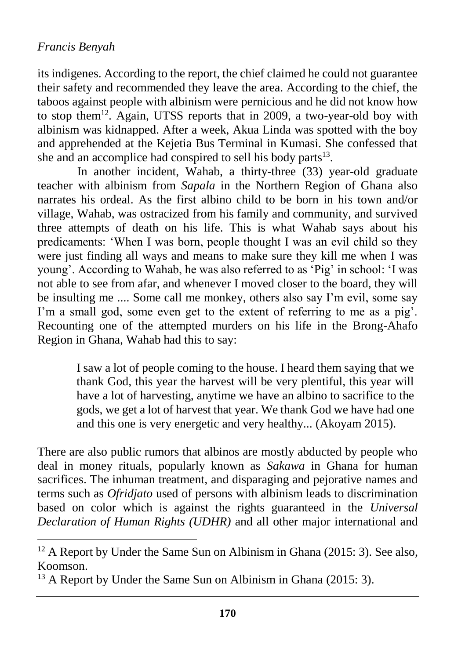$\overline{a}$ 

its indigenes. According to the report, the chief claimed he could not guarantee their safety and recommended they leave the area. According to the chief, the taboos against people with albinism were pernicious and he did not know how to stop them<sup>12</sup>. Again, UTSS reports that in 2009, a two-year-old boy with albinism was kidnapped. After a week, Akua Linda was spotted with the boy and apprehended at the Kejetia Bus Terminal in Kumasi. She confessed that she and an accomplice had conspired to sell his body parts<sup>13</sup>.

In another incident, Wahab, a thirty-three (33) year-old graduate teacher with albinism from *Sapala* in the Northern Region of Ghana also narrates his ordeal. As the first albino child to be born in his town and/or village, Wahab, was ostracized from his family and community, and survived three attempts of death on his life. This is what Wahab says about his predicaments: 'When I was born, people thought I was an evil child so they were just finding all ways and means to make sure they kill me when I was young'. According to Wahab, he was also referred to as 'Pig' in school: 'I was not able to see from afar, and whenever I moved closer to the board, they will be insulting me .... Some call me monkey, others also say I'm evil, some say I'm a small god, some even get to the extent of referring to me as a pig'. Recounting one of the attempted murders on his life in the Brong-Ahafo Region in Ghana, Wahab had this to say:

> I saw a lot of people coming to the house. I heard them saying that we thank God, this year the harvest will be very plentiful, this year will have a lot of harvesting, anytime we have an albino to sacrifice to the gods, we get a lot of harvest that year. We thank God we have had one and this one is very energetic and very healthy... (Akoyam 2015).

There are also public rumors that albinos are mostly abducted by people who deal in money rituals, popularly known as *Sakawa* in Ghana for human sacrifices. The inhuman treatment, and disparaging and pejorative names and terms such as *Ofridjato* used of persons with albinism leads to discrimination based on color which is against the rights guaranteed in the *Universal Declaration of Human Rights (UDHR)* and all other major international and

 $12$  A Report by Under the Same Sun on Albinism in Ghana (2015: 3). See also, Koomson.

<sup>&</sup>lt;sup>13</sup> A Report by Under the Same Sun on Albinism in Ghana (2015: 3).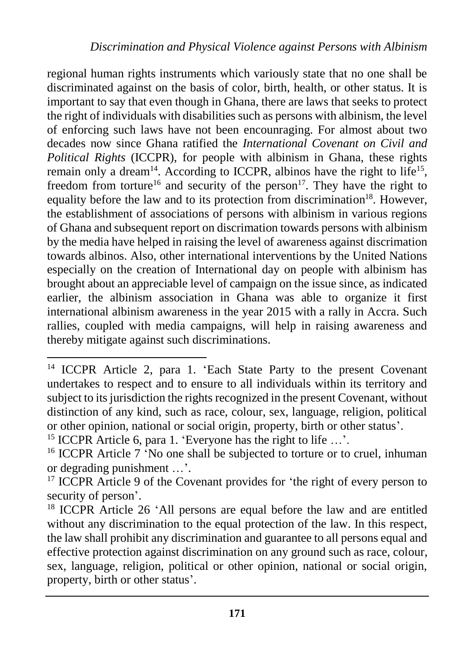regional human rights instruments which variously state that no one shall be discriminated against on the basis of color, birth, health, or other status. It is important to say that even though in Ghana, there are laws that seeks to protect the right of individuals with disabilities such as persons with albinism, the level of enforcing such laws have not been encounraging. For almost about two decades now since Ghana ratified the *International Covenant on Civil and Political Rights* (ICCPR), for people with albinism in Ghana, these rights remain only a dream<sup>14</sup>. According to ICCPR, albinos have the right to life<sup>15</sup>, freedom from torture<sup>16</sup> and security of the person<sup>17</sup>. They have the right to equality before the law and to its protection from discrimination<sup>18</sup>. However, the establishment of associations of persons with albinism in various regions of Ghana and subsequent report on discrimation towards persons with albinism by the media have helped in raising the level of awareness against discrimation towards albinos. Also, other international interventions by the United Nations especially on the creation of International day on people with albinism has brought about an appreciable level of campaign on the issue since, as indicated earlier, the albinism association in Ghana was able to organize it first international albinism awareness in the year 2015 with a rally in Accra. Such rallies, coupled with media campaigns, will help in raising awareness and thereby mitigate against such discriminations.

<sup>15</sup> ICCPR Article 6, para 1. 'Everyone has the right to life …'.

 $\overline{a}$ 

<sup>16</sup> ICCPR Article 7 'No one shall be subjected to torture or to cruel, inhuman or degrading punishment …'.

 $17$  ICCPR Article 9 of the Covenant provides for 'the right of every person to security of person'.

<sup>18</sup> ICCPR Article 26 'All persons are equal before the law and are entitled without any discrimination to the equal protection of the law. In this respect, the law shall prohibit any discrimination and guarantee to all persons equal and effective protection against discrimination on any ground such as race, colour, sex, language, religion, political or other opinion, national or social origin, property, birth or other status'.

<sup>&</sup>lt;sup>14</sup> ICCPR Article 2, para 1. 'Each State Party to the present Covenant undertakes to respect and to ensure to all individuals within its territory and subject to its jurisdiction the rights recognized in the present Covenant, without distinction of any kind, such as race, colour, sex, language, religion, political or other opinion, national or social origin, property, birth or other status'.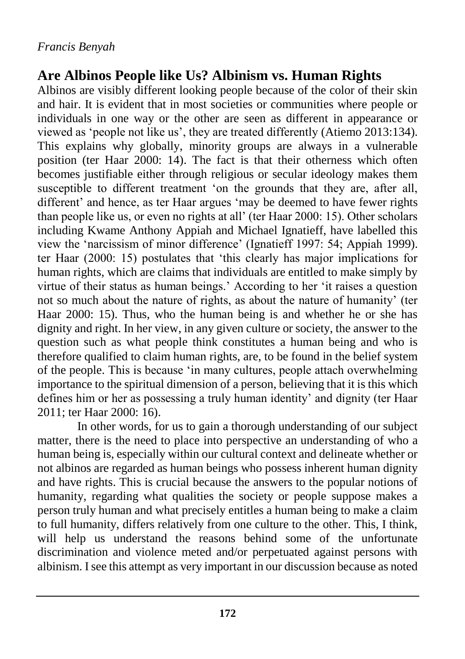## **Are Albinos People like Us? Albinism vs. Human Rights**

Albinos are visibly different looking people because of the color of their skin and hair. It is evident that in most societies or communities where people or individuals in one way or the other are seen as different in appearance or viewed as 'people not like us', they are treated differently (Atiemo 2013:134). This explains why globally, minority groups are always in a vulnerable position (ter Haar 2000: 14). The fact is that their otherness which often becomes justifiable either through religious or secular ideology makes them susceptible to different treatment 'on the grounds that they are, after all, different' and hence, as ter Haar argues 'may be deemed to have fewer rights than people like us, or even no rights at all' (ter Haar 2000: 15). Other scholars including Kwame Anthony Appiah and Michael Ignatieff, have labelled this view the 'narcissism of minor difference' (Ignatieff 1997: 54; Appiah 1999). ter Haar (2000: 15) postulates that 'this clearly has major implications for human rights, which are claims that individuals are entitled to make simply by virtue of their status as human beings.' According to her 'it raises a question not so much about the nature of rights, as about the nature of humanity' (ter Haar 2000: 15). Thus, who the human being is and whether he or she has dignity and right. In her view, in any given culture or society, the answer to the question such as what people think constitutes a human being and who is therefore qualified to claim human rights, are, to be found in the belief system of the people. This is because 'in many cultures, people attach overwhelming importance to the spiritual dimension of a person, believing that it is this which defines him or her as possessing a truly human identity' and dignity (ter Haar 2011; ter Haar 2000: 16).

In other words, for us to gain a thorough understanding of our subject matter, there is the need to place into perspective an understanding of who a human being is, especially within our cultural context and delineate whether or not albinos are regarded as human beings who possess inherent human dignity and have rights. This is crucial because the answers to the popular notions of humanity, regarding what qualities the society or people suppose makes a person truly human and what precisely entitles a human being to make a claim to full humanity, differs relatively from one culture to the other. This, I think, will help us understand the reasons behind some of the unfortunate discrimination and violence meted and/or perpetuated against persons with albinism. I see this attempt as very important in our discussion because as noted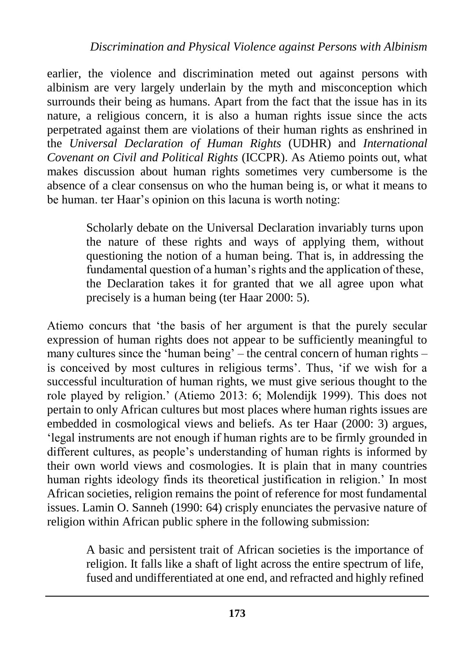earlier, the violence and discrimination meted out against persons with albinism are very largely underlain by the myth and misconception which surrounds their being as humans. Apart from the fact that the issue has in its nature, a religious concern, it is also a human rights issue since the acts perpetrated against them are violations of their human rights as enshrined in the *Universal Declaration of Human Rights* (UDHR) and *International Covenant on Civil and Political Rights* (ICCPR). As Atiemo points out, what makes discussion about human rights sometimes very cumbersome is the absence of a clear consensus on who the human being is, or what it means to be human. ter Haar's opinion on this lacuna is worth noting:

> Scholarly debate on the Universal Declaration invariably turns upon the nature of these rights and ways of applying them, without questioning the notion of a human being. That is, in addressing the fundamental question of a human's rights and the application of these, the Declaration takes it for granted that we all agree upon what precisely is a human being (ter Haar 2000: 5).

Atiemo concurs that 'the basis of her argument is that the purely secular expression of human rights does not appear to be sufficiently meaningful to many cultures since the 'human being' – the central concern of human rights – is conceived by most cultures in religious terms'. Thus, 'if we wish for a successful inculturation of human rights, we must give serious thought to the role played by religion.' (Atiemo 2013: 6; Molendijk 1999). This does not pertain to only African cultures but most places where human rights issues are embedded in cosmological views and beliefs. As ter Haar (2000: 3) argues, 'legal instruments are not enough if human rights are to be firmly grounded in different cultures, as people's understanding of human rights is informed by their own world views and cosmologies. It is plain that in many countries human rights ideology finds its theoretical justification in religion.' In most African societies, religion remains the point of reference for most fundamental issues. Lamin O. Sanneh (1990: 64) crisply enunciates the pervasive nature of religion within African public sphere in the following submission:

> A basic and persistent trait of African societies is the importance of religion. It falls like a shaft of light across the entire spectrum of life, fused and undifferentiated at one end, and refracted and highly refined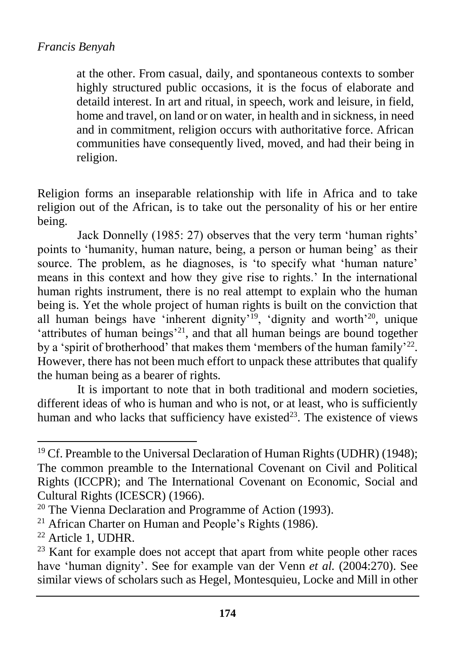at the other. From casual, daily, and spontaneous contexts to somber highly structured public occasions, it is the focus of elaborate and detaild interest. In art and ritual, in speech, work and leisure, in field, home and travel, on land or on water, in health and in sickness, in need and in commitment, religion occurs with authoritative force. African communities have consequently lived, moved, and had their being in religion.

Religion forms an inseparable relationship with life in Africa and to take religion out of the African, is to take out the personality of his or her entire being.

Jack Donnelly (1985: 27) observes that the very term 'human rights' points to 'humanity, human nature, being, a person or human being' as their source. The problem, as he diagnoses, is 'to specify what 'human nature' means in this context and how they give rise to rights.' In the international human rights instrument, there is no real attempt to explain who the human being is. Yet the whole project of human rights is built on the conviction that all human beings have 'inherent dignity'<sup>19</sup>, 'dignity and worth'<sup>20</sup>, unique 'attributes of human beings'<sup>21</sup>, and that all human beings are bound together by a 'spirit of brotherhood' that makes them 'members of the human family'<sup>22</sup>. However, there has not been much effort to unpack these attributes that qualify the human being as a bearer of rights.

It is important to note that in both traditional and modern societies, different ideas of who is human and who is not, or at least, who is sufficiently human and who lacks that sufficiency have existed<sup>23</sup>. The existence of views

<sup>&</sup>lt;sup>19</sup> Cf. Preamble to the Universal Declaration of Human Rights (UDHR) (1948); The common preamble to the International Covenant on Civil and Political Rights (ICCPR); and The International Covenant on Economic, Social and Cultural Rights (ICESCR) (1966).

<sup>&</sup>lt;sup>20</sup> The Vienna Declaration and Programme of Action (1993).

 $21$  African Charter on Human and People's Rights (1986).

<sup>22</sup> Article 1, UDHR.

<sup>&</sup>lt;sup>23</sup> Kant for example does not accept that apart from white people other races have 'human dignity'. See for example van der Venn *et al.* (2004:270). See similar views of scholars such as Hegel, Montesquieu, Locke and Mill in other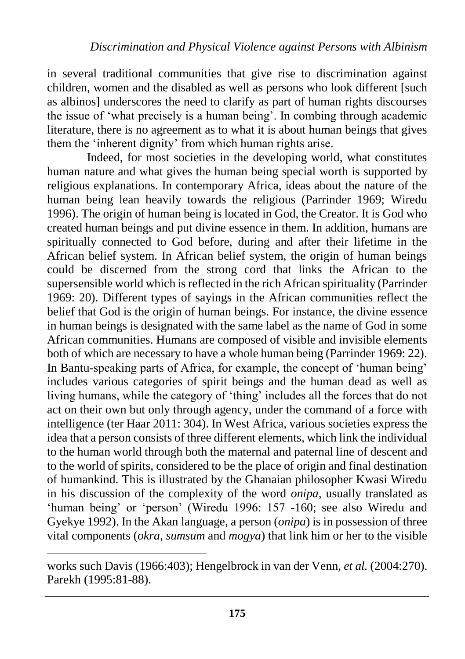in several traditional communities that give rise to discrimination against children, women and the disabled as well as persons who look different [such as albinos] underscores the need to clarify as part of human rights discourses the issue of 'what precisely is a human being'. In combing through academic literature, there is no agreement as to what it is about human beings that gives them the 'inherent dignity' from which human rights arise.

Indeed, for most societies in the developing world, what constitutes human nature and what gives the human being special worth is supported by religious explanations. In contemporary Africa, ideas about the nature of the human being lean heavily towards the religious (Parrinder 1969; Wiredu 1996). The origin of human being is located in God, the Creator. It is God who created human beings and put divine essence in them. In addition, humans are spiritually connected to God before, during and after their lifetime in the African belief system. In African belief system, the origin of human beings could be discerned from the strong cord that links the African to the supersensible world which is reflected in the rich African spirituality (Parrinder 1969: 20). Different types of sayings in the African communities reflect the belief that God is the origin of human beings. For instance, the divine essence in human beings is designated with the same label as the name of God in some African communities. Humans are composed of visible and invisible elements both of which are necessary to have a whole human being (Parrinder 1969: 22). In Bantu-speaking parts of Africa, for example, the concept of 'human being' includes various categories of spirit beings and the human dead as well as living humans, while the category of 'thing' includes all the forces that do not act on their own but only through agency, under the command of a force with intelligence (ter Haar 2011: 304). In West Africa, various societies express the idea that a person consists of three different elements, which link the individual to the human world through both the maternal and paternal line of descent and to the world of spirits, considered to be the place of origin and final destination of humankind. This is illustrated by the Ghanaian philosopher Kwasi Wiredu in his discussion of the complexity of the word *onipa*, usually translated as 'human being' or 'person' (Wiredu 1996: 157 -160; see also Wiredu and Gyekye 1992). In the Akan language, a person (*onipa*) is in possession of three vital components (*okra*, *sumsum* and *mogya*) that link him or her to the visible

works such Davis (1966:403); Hengelbrock in van der Venn, *et al.* (2004:270). Parekh (1995:81-88).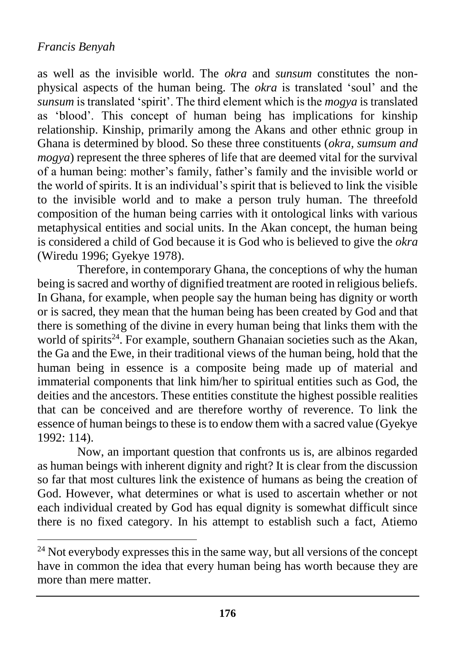$\overline{a}$ 

as well as the invisible world. The *okra* and *sunsum* constitutes the nonphysical aspects of the human being. The *okra* is translated 'soul' and the *sunsum* is translated 'spirit'. The third element which is the *mogya* is translated as 'blood'. This concept of human being has implications for kinship relationship. Kinship, primarily among the Akans and other ethnic group in Ghana is determined by blood. So these three constituents (*okra, sumsum and mogya*) represent the three spheres of life that are deemed vital for the survival of a human being: mother's family, father's family and the invisible world or the world of spirits. It is an individual's spirit that is believed to link the visible to the invisible world and to make a person truly human. The threefold composition of the human being carries with it ontological links with various metaphysical entities and social units. In the Akan concept, the human being is considered a child of God because it is God who is believed to give the *okra* (Wiredu 1996; Gyekye 1978).

Therefore, in contemporary Ghana, the conceptions of why the human being is sacred and worthy of dignified treatment are rooted in religious beliefs. In Ghana, for example, when people say the human being has dignity or worth or is sacred, they mean that the human being has been created by God and that there is something of the divine in every human being that links them with the world of spirits<sup>24</sup>. For example, southern Ghanaian societies such as the Akan, the Ga and the Ewe, in their traditional views of the human being, hold that the human being in essence is a composite being made up of material and immaterial components that link him/her to spiritual entities such as God, the deities and the ancestors. These entities constitute the highest possible realities that can be conceived and are therefore worthy of reverence. To link the essence of human beings to these is to endow them with a sacred value (Gyekye 1992: 114).

Now, an important question that confronts us is, are albinos regarded as human beings with inherent dignity and right? It is clear from the discussion so far that most cultures link the existence of humans as being the creation of God. However, what determines or what is used to ascertain whether or not each individual created by God has equal dignity is somewhat difficult since there is no fixed category. In his attempt to establish such a fact, Atiemo

<sup>&</sup>lt;sup>24</sup> Not everybody expresses this in the same way, but all versions of the concept have in common the idea that every human being has worth because they are more than mere matter.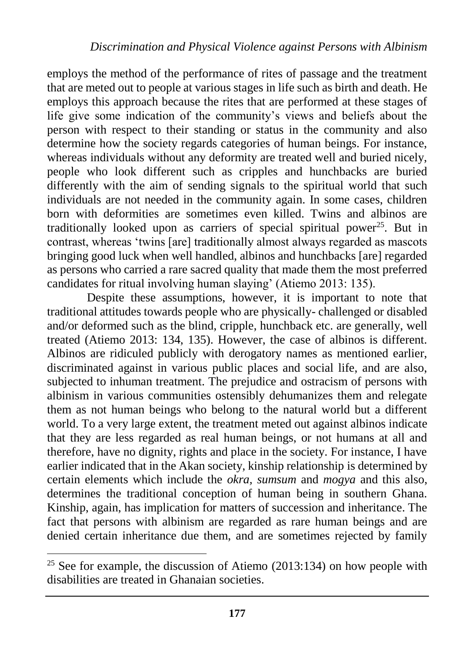employs the method of the performance of rites of passage and the treatment that are meted out to people at various stages in life such as birth and death. He employs this approach because the rites that are performed at these stages of life give some indication of the community's views and beliefs about the person with respect to their standing or status in the community and also determine how the society regards categories of human beings. For instance, whereas individuals without any deformity are treated well and buried nicely, people who look different such as cripples and hunchbacks are buried differently with the aim of sending signals to the spiritual world that such individuals are not needed in the community again. In some cases, children born with deformities are sometimes even killed. Twins and albinos are traditionally looked upon as carriers of special spiritual power<sup>25</sup>. But in contrast, whereas 'twins [are] traditionally almost always regarded as mascots bringing good luck when well handled, albinos and hunchbacks [are] regarded as persons who carried a rare sacred quality that made them the most preferred candidates for ritual involving human slaying' (Atiemo 2013: 135).

Despite these assumptions, however, it is important to note that traditional attitudes towards people who are physically- challenged or disabled and/or deformed such as the blind, cripple, hunchback etc. are generally, well treated (Atiemo 2013: 134, 135). However, the case of albinos is different. Albinos are ridiculed publicly with derogatory names as mentioned earlier, discriminated against in various public places and social life, and are also, subjected to inhuman treatment. The prejudice and ostracism of persons with albinism in various communities ostensibly dehumanizes them and relegate them as not human beings who belong to the natural world but a different world. To a very large extent, the treatment meted out against albinos indicate that they are less regarded as real human beings, or not humans at all and therefore, have no dignity, rights and place in the society. For instance, I have earlier indicated that in the Akan society, kinship relationship is determined by certain elements which include the *okra, sumsum* and *mogya* and this also, determines the traditional conception of human being in southern Ghana. Kinship, again, has implication for matters of succession and inheritance. The fact that persons with albinism are regarded as rare human beings and are denied certain inheritance due them, and are sometimes rejected by family

 $25$  See for example, the discussion of Atiemo (2013:134) on how people with disabilities are treated in Ghanaian societies.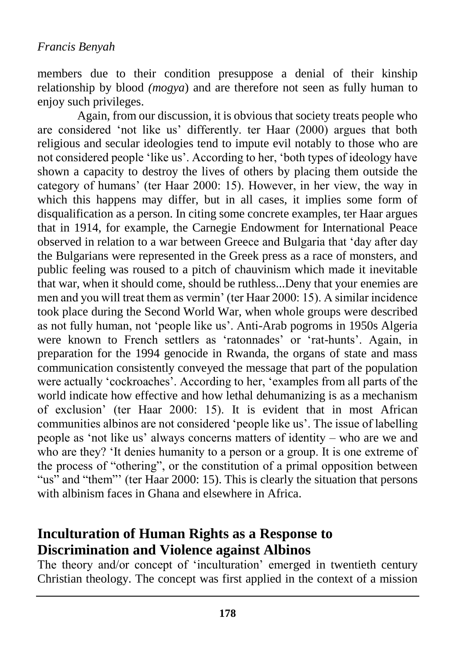members due to their condition presuppose a denial of their kinship relationship by blood *(mogya*) and are therefore not seen as fully human to enjoy such privileges.

Again, from our discussion, it is obvious that society treats people who are considered 'not like us' differently. ter Haar (2000) argues that both religious and secular ideologies tend to impute evil notably to those who are not considered people 'like us'. According to her, 'both types of ideology have shown a capacity to destroy the lives of others by placing them outside the category of humans' (ter Haar 2000: 15). However, in her view, the way in which this happens may differ, but in all cases, it implies some form of disqualification as a person. In citing some concrete examples, ter Haar argues that in 1914, for example, the Carnegie Endowment for International Peace observed in relation to a war between Greece and Bulgaria that 'day after day the Bulgarians were represented in the Greek press as a race of monsters, and public feeling was roused to a pitch of chauvinism which made it inevitable that war, when it should come, should be ruthless...Deny that your enemies are men and you will treat them as vermin' (ter Haar 2000: 15). A similar incidence took place during the Second World War, when whole groups were described as not fully human, not 'people like us'. Anti-Arab pogroms in 1950s Algeria were known to French settlers as 'ratonnades' or 'rat-hunts'. Again, in preparation for the 1994 genocide in Rwanda, the organs of state and mass communication consistently conveyed the message that part of the population were actually 'cockroaches'. According to her, 'examples from all parts of the world indicate how effective and how lethal dehumanizing is as a mechanism of exclusion' (ter Haar 2000: 15). It is evident that in most African communities albinos are not considered 'people like us'. The issue of labelling people as 'not like us' always concerns matters of identity – who are we and who are they? 'It denies humanity to a person or a group. It is one extreme of the process of "othering", or the constitution of a primal opposition between "us" and "them"' (ter Haar 2000: 15). This is clearly the situation that persons with albinism faces in Ghana and elsewhere in Africa.

# **Inculturation of Human Rights as a Response to Discrimination and Violence against Albinos**

The theory and/or concept of 'inculturation' emerged in twentieth century Christian theology. The concept was first applied in the context of a mission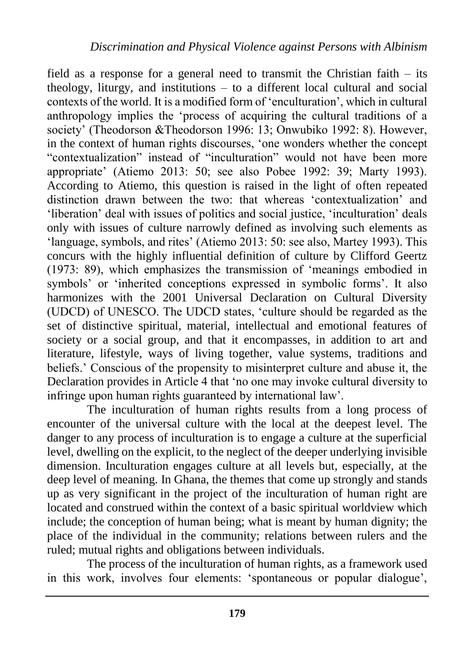field as a response for a general need to transmit the Christian faith – its theology, liturgy, and institutions – to a different local cultural and social contexts of the world. It is a modified form of 'enculturation', which in cultural anthropology implies the 'process of acquiring the cultural traditions of a society' (Theodorson &Theodorson 1996: 13; Onwubiko 1992: 8). However, in the context of human rights discourses, 'one wonders whether the concept "contextualization" instead of "inculturation" would not have been more appropriate' (Atiemo 2013: 50; see also Pobee 1992: 39; Marty 1993). According to Atiemo, this question is raised in the light of often repeated distinction drawn between the two: that whereas 'contextualization' and 'liberation' deal with issues of politics and social justice, 'inculturation' deals only with issues of culture narrowly defined as involving such elements as 'language, symbols, and rites' (Atiemo 2013: 50: see also, Martey 1993). This concurs with the highly influential definition of culture by Clifford Geertz (1973: 89), which emphasizes the transmission of 'meanings embodied in symbols' or 'inherited conceptions expressed in symbolic forms'. It also harmonizes with the 2001 Universal Declaration on Cultural Diversity (UDCD) of UNESCO. The UDCD states, 'culture should be regarded as the set of distinctive spiritual, material, intellectual and emotional features of society or a social group, and that it encompasses, in addition to art and literature, lifestyle, ways of living together, value systems, traditions and beliefs.' Conscious of the propensity to misinterpret culture and abuse it, the Declaration provides in Article 4 that 'no one may invoke cultural diversity to infringe upon human rights guaranteed by international law'.

The inculturation of human rights results from a long process of encounter of the universal culture with the local at the deepest level. The danger to any process of inculturation is to engage a culture at the superficial level, dwelling on the explicit, to the neglect of the deeper underlying invisible dimension. Inculturation engages culture at all levels but, especially, at the deep level of meaning. In Ghana, the themes that come up strongly and stands up as very significant in the project of the inculturation of human right are located and construed within the context of a basic spiritual worldview which include; the conception of human being; what is meant by human dignity; the place of the individual in the community; relations between rulers and the ruled; mutual rights and obligations between individuals.

The process of the inculturation of human rights, as a framework used in this work, involves four elements: 'spontaneous or popular dialogue',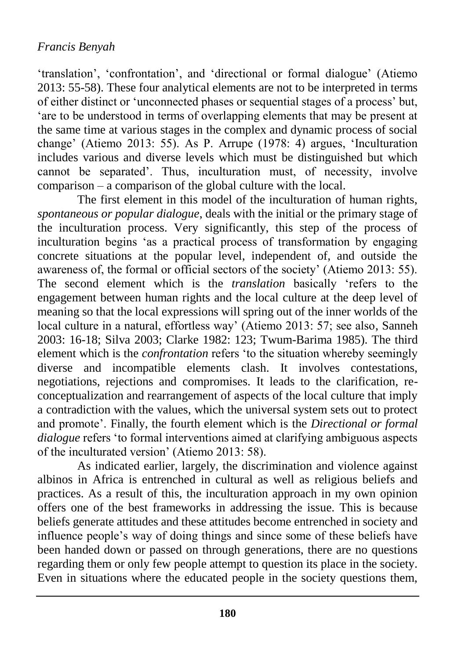'translation', 'confrontation', and 'directional or formal dialogue' (Atiemo 2013: 55-58). These four analytical elements are not to be interpreted in terms of either distinct or 'unconnected phases or sequential stages of a process' but, 'are to be understood in terms of overlapping elements that may be present at the same time at various stages in the complex and dynamic process of social change' (Atiemo 2013: 55). As P. Arrupe (1978: 4) argues, 'Inculturation includes various and diverse levels which must be distinguished but which cannot be separated'. Thus, inculturation must, of necessity, involve comparison – a comparison of the global culture with the local.

The first element in this model of the inculturation of human rights, *spontaneous or popular dialogue*, deals with the initial or the primary stage of the inculturation process. Very significantly, this step of the process of inculturation begins 'as a practical process of transformation by engaging concrete situations at the popular level, independent of, and outside the awareness of, the formal or official sectors of the society' (Atiemo 2013: 55). The second element which is the *translation* basically 'refers to the engagement between human rights and the local culture at the deep level of meaning so that the local expressions will spring out of the inner worlds of the local culture in a natural, effortless way' (Atiemo 2013: 57; see also, Sanneh 2003: 16-18; Silva 2003; Clarke 1982: 123; Twum-Barima 1985). The third element which is the *confrontation* refers 'to the situation whereby seemingly diverse and incompatible elements clash. It involves contestations, negotiations, rejections and compromises. It leads to the clarification, reconceptualization and rearrangement of aspects of the local culture that imply a contradiction with the values, which the universal system sets out to protect and promote'. Finally, the fourth element which is the *Directional or formal dialogue* refers 'to formal interventions aimed at clarifying ambiguous aspects of the inculturated version' (Atiemo 2013: 58).

As indicated earlier, largely, the discrimination and violence against albinos in Africa is entrenched in cultural as well as religious beliefs and practices. As a result of this, the inculturation approach in my own opinion offers one of the best frameworks in addressing the issue. This is because beliefs generate attitudes and these attitudes become entrenched in society and influence people's way of doing things and since some of these beliefs have been handed down or passed on through generations, there are no questions regarding them or only few people attempt to question its place in the society. Even in situations where the educated people in the society questions them,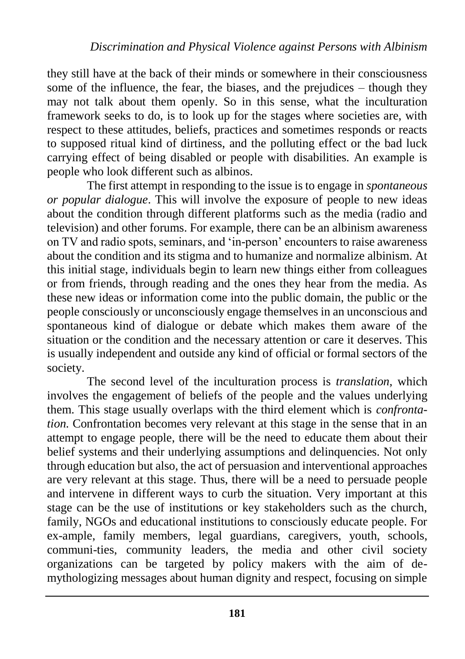they still have at the back of their minds or somewhere in their consciousness some of the influence, the fear, the biases, and the prejudices – though they may not talk about them openly. So in this sense, what the inculturation framework seeks to do, is to look up for the stages where societies are, with respect to these attitudes, beliefs, practices and sometimes responds or reacts to supposed ritual kind of dirtiness, and the polluting effect or the bad luck carrying effect of being disabled or people with disabilities. An example is people who look different such as albinos.

The first attempt in responding to the issue is to engage in *spontaneous or popular dialogue*. This will involve the exposure of people to new ideas about the condition through different platforms such as the media (radio and television) and other forums. For example, there can be an albinism awareness on TV and radio spots, seminars, and 'in-person' encounters to raise awareness about the condition and its stigma and to humanize and normalize albinism. At this initial stage, individuals begin to learn new things either from colleagues or from friends, through reading and the ones they hear from the media. As these new ideas or information come into the public domain, the public or the people consciously or unconsciously engage themselves in an unconscious and spontaneous kind of dialogue or debate which makes them aware of the situation or the condition and the necessary attention or care it deserves. This is usually independent and outside any kind of official or formal sectors of the society.

The second level of the inculturation process is *translation,* which involves the engagement of beliefs of the people and the values underlying them. This stage usually overlaps with the third element which is *confrontation.* Confrontation becomes very relevant at this stage in the sense that in an attempt to engage people, there will be the need to educate them about their belief systems and their underlying assumptions and delinquencies. Not only through education but also, the act of persuasion and interventional approaches are very relevant at this stage. Thus, there will be a need to persuade people and intervene in different ways to curb the situation. Very important at this stage can be the use of institutions or key stakeholders such as the church, family, NGOs and educational institutions to consciously educate people. For ex-ample, family members, legal guardians, caregivers, youth, schools, communi-ties, community leaders, the media and other civil society organizations can be targeted by policy makers with the aim of demythologizing messages about human dignity and respect, focusing on simple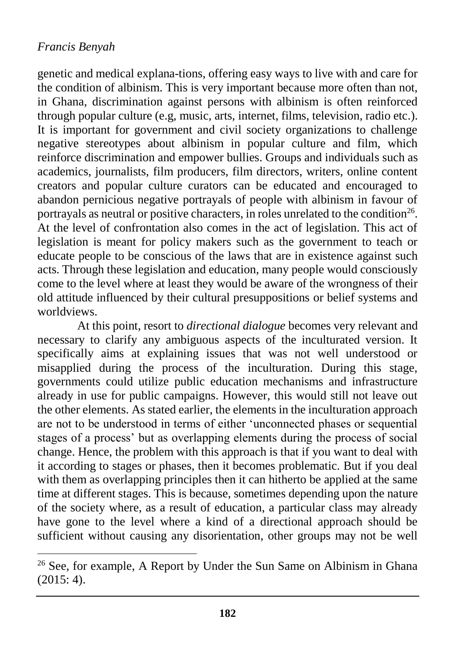$\overline{a}$ 

genetic and medical explana-tions, offering easy ways to live with and care for the condition of albinism. This is very important because more often than not, in Ghana, discrimination against persons with albinism is often reinforced through popular culture (e.g, music, arts, internet, films, television, radio etc.). It is important for government and civil society organizations to challenge negative stereotypes about albinism in popular culture and film, which reinforce discrimination and empower bullies. Groups and individuals such as academics, journalists, film producers, film directors, writers, online content creators and popular culture curators can be educated and encouraged to abandon pernicious negative portrayals of people with albinism in favour of portrayals as neutral or positive characters, in roles unrelated to the condition<sup>26</sup>. At the level of confrontation also comes in the act of legislation. This act of legislation is meant for policy makers such as the government to teach or educate people to be conscious of the laws that are in existence against such acts. Through these legislation and education, many people would consciously come to the level where at least they would be aware of the wrongness of their old attitude influenced by their cultural presuppositions or belief systems and worldviews.

At this point, resort to *directional dialogue* becomes very relevant and necessary to clarify any ambiguous aspects of the inculturated version. It specifically aims at explaining issues that was not well understood or misapplied during the process of the inculturation. During this stage, governments could utilize public education mechanisms and infrastructure already in use for public campaigns. However, this would still not leave out the other elements. As stated earlier, the elements in the inculturation approach are not to be understood in terms of either 'unconnected phases or sequential stages of a process' but as overlapping elements during the process of social change. Hence, the problem with this approach is that if you want to deal with it according to stages or phases, then it becomes problematic. But if you deal with them as overlapping principles then it can hitherto be applied at the same time at different stages. This is because, sometimes depending upon the nature of the society where, as a result of education, a particular class may already have gone to the level where a kind of a directional approach should be sufficient without causing any disorientation, other groups may not be well

<sup>&</sup>lt;sup>26</sup> See, for example, A Report by Under the Sun Same on Albinism in Ghana  $(2015: 4)$ .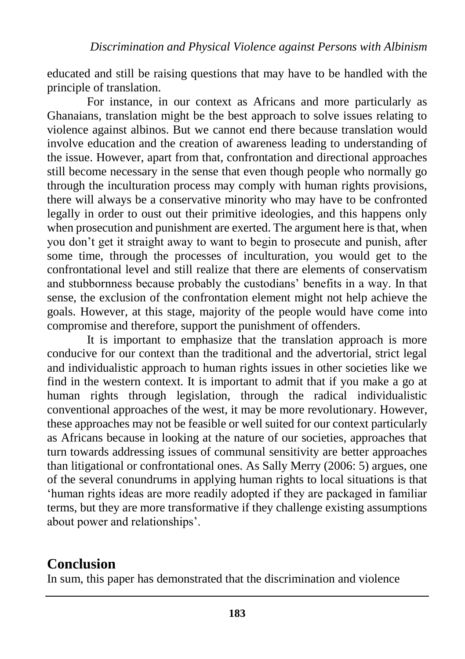educated and still be raising questions that may have to be handled with the principle of translation.

For instance, in our context as Africans and more particularly as Ghanaians, translation might be the best approach to solve issues relating to violence against albinos. But we cannot end there because translation would involve education and the creation of awareness leading to understanding of the issue. However, apart from that, confrontation and directional approaches still become necessary in the sense that even though people who normally go through the inculturation process may comply with human rights provisions, there will always be a conservative minority who may have to be confronted legally in order to oust out their primitive ideologies, and this happens only when prosecution and punishment are exerted. The argument here is that, when you don't get it straight away to want to begin to prosecute and punish, after some time, through the processes of inculturation, you would get to the confrontational level and still realize that there are elements of conservatism and stubbornness because probably the custodians' benefits in a way. In that sense, the exclusion of the confrontation element might not help achieve the goals. However, at this stage, majority of the people would have come into compromise and therefore, support the punishment of offenders.

It is important to emphasize that the translation approach is more conducive for our context than the traditional and the advertorial, strict legal and individualistic approach to human rights issues in other societies like we find in the western context. It is important to admit that if you make a go at human rights through legislation, through the radical individualistic conventional approaches of the west, it may be more revolutionary. However, these approaches may not be feasible or well suited for our context particularly as Africans because in looking at the nature of our societies, approaches that turn towards addressing issues of communal sensitivity are better approaches than litigational or confrontational ones. As Sally Merry (2006: 5) argues, one of the several conundrums in applying human rights to local situations is that 'human rights ideas are more readily adopted if they are packaged in familiar terms, but they are more transformative if they challenge existing assumptions about power and relationships'.

# **Conclusion**

In sum, this paper has demonstrated that the discrimination and violence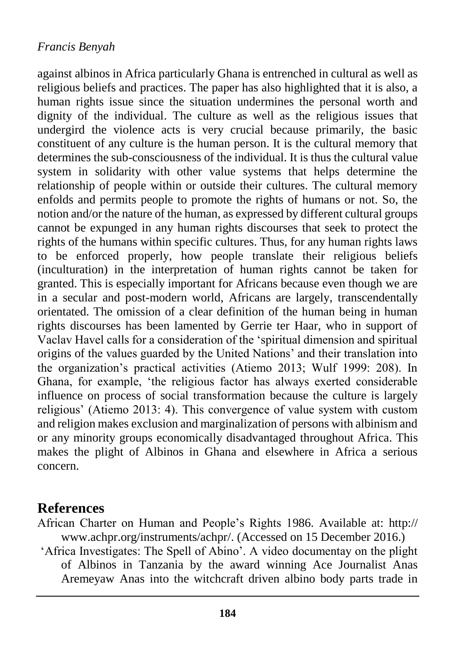against albinos in Africa particularly Ghana is entrenched in cultural as well as religious beliefs and practices. The paper has also highlighted that it is also, a human rights issue since the situation undermines the personal worth and dignity of the individual. The culture as well as the religious issues that undergird the violence acts is very crucial because primarily, the basic constituent of any culture is the human person. It is the cultural memory that determines the sub-consciousness of the individual. It is thus the cultural value system in solidarity with other value systems that helps determine the relationship of people within or outside their cultures. The cultural memory enfolds and permits people to promote the rights of humans or not. So, the notion and/or the nature of the human, as expressed by different cultural groups cannot be expunged in any human rights discourses that seek to protect the rights of the humans within specific cultures. Thus, for any human rights laws to be enforced properly, how people translate their religious beliefs (inculturation) in the interpretation of human rights cannot be taken for granted. This is especially important for Africans because even though we are in a secular and post-modern world, Africans are largely, transcendentally orientated. The omission of a clear definition of the human being in human rights discourses has been lamented by Gerrie ter Haar, who in support of Vaclav Havel calls for a consideration of the 'spiritual dimension and spiritual origins of the values guarded by the United Nations' and their translation into the organization's practical activities (Atiemo 2013; Wulf 1999: 208). In Ghana, for example, 'the religious factor has always exerted considerable influence on process of social transformation because the culture is largely religious' (Atiemo 2013: 4). This convergence of value system with custom and religion makes exclusion and marginalization of persons with albinism and or any minority groups economically disadvantaged throughout Africa. This makes the plight of Albinos in Ghana and elsewhere in Africa a serious concern.

### **References**

African Charter on Human and People's Rights 1986. Available at: http:// www.achpr.org/instruments/achpr/. (Accessed on 15 December 2016.)

'Africa Investigates: The Spell of Abino'. A video documentay on the plight of Albinos in Tanzania by the award winning Ace Journalist Anas Aremeyaw Anas into the witchcraft driven albino body parts trade in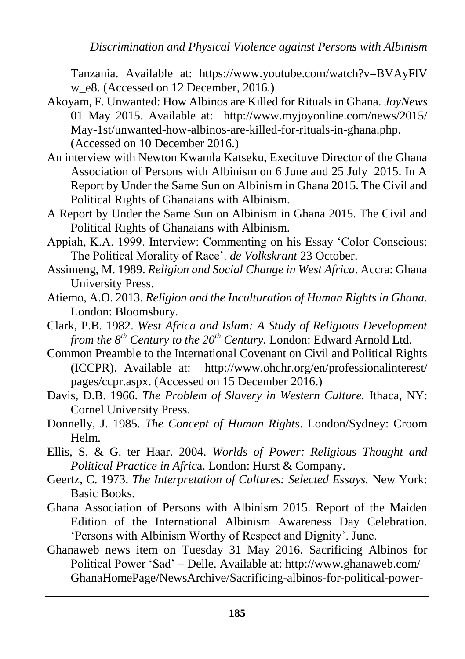Tanzania. Available at: [https://www.youtube.com/watch?v=BVAyFlV](https://www.youtube.com/watch?v=BVAyFlV%20w_e8)  [w\\_e8.](https://www.youtube.com/watch?v=BVAyFlV%20w_e8) (Accessed on 12 December, 2016.)

- Akoyam, F. Unwanted: How Albinos are Killed for Rituals in Ghana. *JoyNews* 01 May 2015. Available at: [http://www.myjoyonline.com/news/2015/](http://www.myjoyonline.com/news/2015/%20May-1st/unwanted-how-albinos-are-killed-for-rituals-in-ghana.php)  [May-1st/unwanted-how-albinos-are-killed-for-rituals-in-ghana.php.](http://www.myjoyonline.com/news/2015/%20May-1st/unwanted-how-albinos-are-killed-for-rituals-in-ghana.php) (Accessed on 10 December 2016.)
- An interview with Newton Kwamla Katseku, Execituve Director of the Ghana Association of Persons with Albinism on 6 June and 25 July 2015. In A Report by Under the Same Sun on Albinism in Ghana 2015. The Civil and Political Rights of Ghanaians with Albinism.
- A Report by Under the Same Sun on Albinism in Ghana 2015. The Civil and Political Rights of Ghanaians with Albinism.
- Appiah, K.A. 1999. Interview: Commenting on his Essay 'Color Conscious: The Political Morality of Race'. *de Volkskrant* 23 October.
- Assimeng, M. 1989. *Religion and Social Change in West Africa*. Accra: Ghana University Press.
- Atiemo, A.O. 2013. *Religion and the Inculturation of Human Rights in Ghana.*  London: Bloomsbury.
- Clark, P.B. 1982. *West Africa and Islam: A Study of Religious Development from the 8th Century to the 20th Century.* London: Edward Arnold Ltd.
- Common Preamble to the International Covenant on Civil and Political Rights (ICCPR). Available at: [http://www.ohchr.org/en/professionalinterest/](http://www.ohchr.org/en/professionalinterest/%20pages/ccpr.aspx)  [pages/ccpr.aspx.](http://www.ohchr.org/en/professionalinterest/%20pages/ccpr.aspx) (Accessed on 15 December 2016.)
- Davis, D.B. 1966. *The Problem of Slavery in Western Culture.* Ithaca, NY: Cornel University Press.
- Donnelly, J. 1985. *The Concept of Human Rights*. London/Sydney: Croom Helm.
- Ellis, S. & G. ter Haar. 2004. *Worlds of Power: Religious Thought and Political Practice in Afric*a. London: Hurst & Company.
- Geertz, C. 1973. *The Interpretation of Cultures: Selected Essays.* New York: Basic Books.
- Ghana Association of Persons with Albinism 2015. Report of the Maiden Edition of the International Albinism Awareness Day Celebration. 'Persons with Albinism Worthy of Respect and Dignity'. June.
- Ghanaweb news item on Tuesday 31 May 2016. Sacrificing Albinos for Political Power 'Sad' – Delle. Available at: http://www.ghanaweb.com/ GhanaHomePage/NewsArchive/Sacrificing-albinos-for-political-power-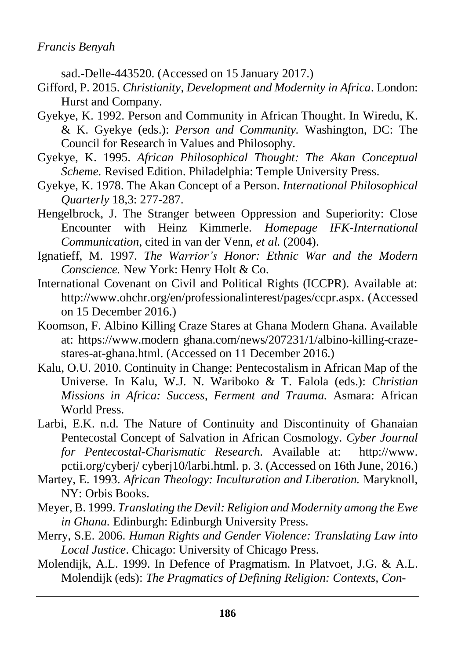sad.-Delle-443520. (Accessed on 15 January 2017.)

- Gifford, P. 2015. *Christianity, Development and Modernity in Africa*. London: Hurst and Company.
- Gyekye, K. 1992. Person and Community in African Thought. In Wiredu, K. & K. Gyekye (eds.): *Person and Community.* Washington, DC: The Council for Research in Values and Philosophy.
- Gyekye, K. 1995. *African Philosophical Thought: The Akan Conceptual Scheme.* Revised Edition. Philadelphia: Temple University Press.
- Gyekye, K. 1978. The Akan Concept of a Person. *International Philosophical Quarterly* 18,3: 277-287.
- Hengelbrock, J. The Stranger between Oppression and Superiority: Close Encounter with Heinz Kimmerle*. Homepage IFK-International Communication*, cited in van der Venn, *et al.* (2004).
- Ignatieff, M. 1997. *The Warrior's Honor: Ethnic War and the Modern Conscience.* New York: Henry Holt & Co.
- International Covenant on Civil and Political Rights (ICCPR). Available at: [http://www.ohchr.org/en/professionalinterest/pages/ccpr.aspx.](http://www.ohchr.org/en/professionalinterest/pages/ccpr.aspx) (Accessed on 15 December 2016.)
- Koomson, F. Albino Killing Craze Stares at Ghana Modern Ghana. Available at: https://www.modern ghana.com/news/207231/1/albino-killing-crazestares-at-ghana.html. (Accessed on 11 December 2016.)
- Kalu, O.U. 2010. Continuity in Change: Pentecostalism in African Map of the Universe. In Kalu, W.J. N. Wariboko & T. Falola (eds.): *Christian Missions in Africa: Success, Ferment and Trauma.* Asmara: African World Press.
- Larbi, E.K. n.d. The Nature of Continuity and Discontinuity of Ghanaian Pentecostal Concept of Salvation in African Cosmology. *Cyber Journal for Pentecostal-Charismatic Research.* Available at: http://www. pctii.org/cyberj/ cyberj10/larbi.html. p. 3. (Accessed on 16th June, 2016.)
- Martey, E. 1993. *African Theology: Inculturation and Liberation.* Maryknoll, NY: Orbis Books.
- Meyer, B. 1999. *Translating the Devil: Religion and Modernity among the Ewe in Ghana.* Edinburgh: Edinburgh University Press.
- Merry, S.E. 2006. *Human Rights and Gender Violence: Translating Law into Local Justice*. Chicago: University of Chicago Press.
- Molendijk, A.L. 1999. In Defence of Pragmatism. In Platvoet, J.G. & A.L. Molendijk (eds): *The Pragmatics of Defining Religion: Contexts, Con-*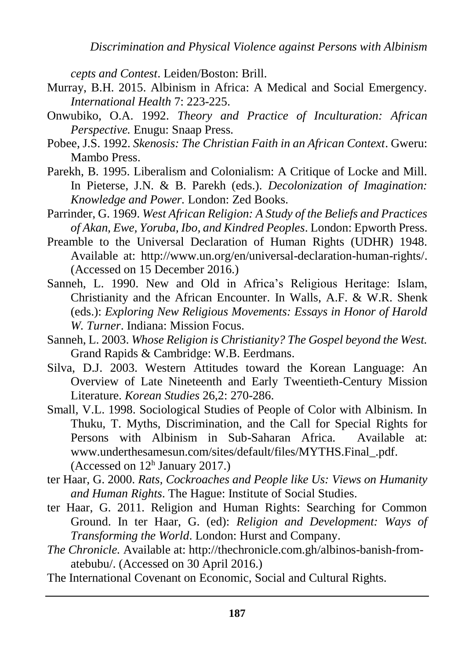*Discrimination and Physical Violence against Persons with Albinism*

*cepts and Contest*. Leiden/Boston: Brill.

- Murray, B.H. 2015. Albinism in Africa: A Medical and Social Emergency. *International Health* 7: 223-225.
- Onwubiko, O.A. 1992. *Theory and Practice of Inculturation: African Perspective.* Enugu: Snaap Press.
- Pobee, J.S. 1992. *Skenosis: The Christian Faith in an African Context*. Gweru: Mambo Press.
- Parekh, B. 1995. Liberalism and Colonialism: A Critique of Locke and Mill. In Pieterse, J.N. & B. Parekh (eds.). *Decolonization of Imagination: Knowledge and Power.* London: Zed Books.
- Parrinder, G. 1969. *West African Religion: A Study of the Beliefs and Practices of Akan, Ewe, Yoruba, Ibo, and Kindred Peoples*. London: Epworth Press.
- Preamble to the Universal Declaration of Human Rights (UDHR) 1948. Available at: [http://www.un.org/en/universal-declaration-human-rights/.](http://www.un.org/en/universal-declaration-human-rights/) (Accessed on 15 December 2016.)
- Sanneh, L. 1990. New and Old in Africa's Religious Heritage: Islam, Christianity and the African Encounter. In Walls, A.F. & W.R. Shenk (eds.): *Exploring New Religious Movements: Essays in Honor of Harold W. Turner*. Indiana: Mission Focus.
- Sanneh, L. 2003. *Whose Religion is Christianity? The Gospel beyond the West.* Grand Rapids & Cambridge: W.B. Eerdmans.
- Silva, D.J. 2003. Western Attitudes toward the Korean Language: An Overview of Late Nineteenth and Early Tweentieth-Century Mission Literature. *Korean Studies* 26,2: 270-286.
- Small, V.L. 1998. Sociological Studies of People of Color with Albinism. In Thuku, T. Myths, Discrimination, and the Call for Special Rights for Persons with Albinism in Sub-Saharan Africa. Available at: [www.underthesamesun.com/sites/default/files/MYTHS.Final\\_.pdf.](http://www.underthesamesun.com/sites/default/files/MYTHS.Final_.pdf) (Accessed on 12<sup>h</sup> January 2017.)
- ter Haar, G. 2000. *Rats, Cockroaches and People like Us: Views on Humanity and Human Rights*. The Hague: Institute of Social Studies.
- ter Haar, G. 2011. Religion and Human Rights: Searching for Common Ground. In ter Haar, G. (ed): *Religion and Development: Ways of Transforming the World*. London: Hurst and Company.
- *The Chronicle.* Available at: http://thechronicle.com.gh/albinos-banish-fromatebubu/. (Accessed on 30 April 2016.)
- The International Covenant on Economic, Social and Cultural Rights.